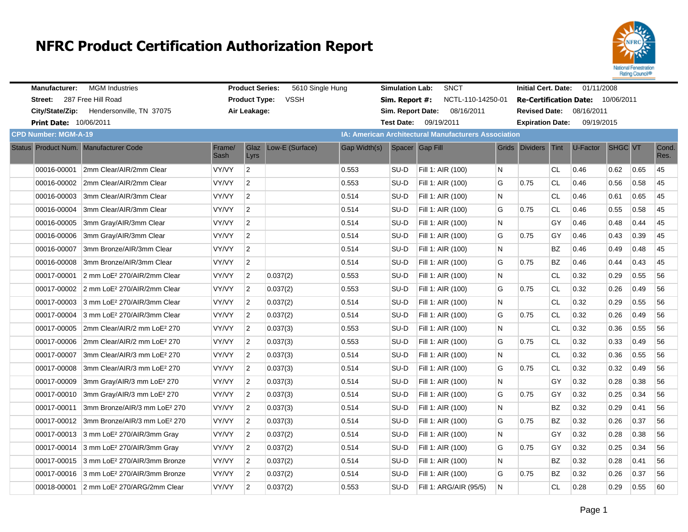

| <b>Manufacturer:</b>          | <b>MGM</b> Industries                                |                | <b>Product Series:</b> | 5610 Single Hung                                     |              | <b>Simulation Lab:</b> | <b>SNCT</b>            |    | <b>Initial Cert. Date:</b> |           | 01/11/2008                        |                |      |               |
|-------------------------------|------------------------------------------------------|----------------|------------------------|------------------------------------------------------|--------------|------------------------|------------------------|----|----------------------------|-----------|-----------------------------------|----------------|------|---------------|
| Street: 287 Free Hill Road    |                                                      |                | <b>Product Type:</b>   | <b>VSSH</b>                                          |              | Sim. Report #:         | NCTL-110-14250-01      |    |                            |           | Re-Certification Date: 10/06/2011 |                |      |               |
| City/State/Zip:               | Hendersonville, TN 37075                             |                | Air Leakage:           |                                                      |              | Sim. Report Date:      | 08/16/2011             |    |                            |           | <b>Revised Date: 08/16/2011</b>   |                |      |               |
| <b>Print Date: 10/06/2011</b> |                                                      |                |                        |                                                      |              | <b>Test Date:</b>      | 09/19/2011             |    | <b>Expiration Date:</b>    |           | 09/19/2015                        |                |      |               |
| <b>CPD Number: MGM-A-19</b>   |                                                      |                |                        | IA: American Architectural Manufacturers Association |              |                        |                        |    |                            |           |                                   |                |      |               |
|                               | Status Product Num. Manufacturer Code                | Frame/<br>Sash | Glaz<br>Lyrs           | Low-E (Surface)                                      | Gap Width(s) |                        | Spacer Gap Fill        |    | Grids Dividers Tint        |           | U-Factor                          | <b>SHGC VT</b> |      | Cond.<br>Res. |
| 00016-00001                   | 2mm Clear/AIR/2mm Clear                              | VY/VY          | $\overline{2}$         |                                                      | 0.553        | SU-D                   | Fill 1: AIR (100)      | N  |                            | <b>CL</b> | 0.46                              | 0.62           | 0.65 | 45            |
| 00016-00002                   | 2mm Clear/AIR/2mm Clear                              | VY/VY          | $\overline{2}$         |                                                      | 0.553        | SU-D                   | Fill 1: AIR (100)      | G  | 0.75                       | <b>CL</b> | 0.46                              | 0.56           | 0.58 | 45            |
|                               | 00016-00003 3mm Clear/AIR/3mm Clear                  | VY/VY          | $\overline{2}$         |                                                      | 0.514        | SU-D                   | Fill 1: AIR (100)      | N  |                            | <b>CL</b> | 0.46                              | 0.61           | 0.65 | 45            |
| 00016-00004                   | 3mm Clear/AIR/3mm Clear                              | VY/VY          | $\overline{2}$         |                                                      | 0.514        | SU-D                   | Fill 1: AIR (100)      | G  | 0.75                       | <b>CL</b> | 0.46                              | 0.55           | 0.58 | 45            |
| 00016-00005                   | 3mm Gray/AIR/3mm Clear                               | VY/VY          | $\overline{2}$         |                                                      | 0.514        | SU-D                   | Fill 1: AIR (100)      | N  |                            | GY        | 0.46                              | 0.48           | 0.44 | 45            |
| 00016-00006                   | 3mm Gray/AIR/3mm Clear                               | VY/VY          | $\overline{2}$         |                                                      | 0.514        | SU-D                   | Fill 1: AIR (100)      | G  | 0.75                       | GY        | 0.46                              | 0.43           | 0.39 | 45            |
| 00016-00007                   | 3mm Bronze/AIR/3mm Clear                             | VY/VY          | $\overline{2}$         |                                                      | 0.514        | SU-D                   | Fill 1: AIR (100)      | N  |                            | ΒZ        | 0.46                              | 0.49           | 0.48 | 45            |
| 00016-00008                   | 3mm Bronze/AIR/3mm Clear                             | VY/VY          | $\overline{2}$         |                                                      | 0.514        | SU-D                   | Fill 1: AIR (100)      | G  | 0.75                       | <b>BZ</b> | 0.46                              | 0.44           | 0.43 | 45            |
|                               | 00017-00001 2 mm LoE <sup>2</sup> 270/AIR/2mm Clear  | VY/VY          | $\overline{2}$         | 0.037(2)                                             | 0.553        | SU-D                   | Fill 1: AIR (100)      | N  |                            | CL        | 0.32                              | 0.29           | 0.55 | 56            |
|                               | 00017-00002 2 mm LoE <sup>2</sup> 270/AIR/2mm Clear  | VY/VY          | $\overline{2}$         | 0.037(2)                                             | 0.553        | SU-D                   | Fill 1: AIR (100)      | G  | 0.75                       | <b>CL</b> | 0.32                              | 0.26           | 0.49 | 56            |
|                               | 00017-00003 3 mm LoE <sup>2</sup> 270/AIR/3mm Clear  | VY/VY          | $\overline{2}$         | 0.037(2)                                             | 0.514        | SU-D                   | Fill 1: AIR (100)      | N  |                            | CL        | 0.32                              | 0.29           | 0.55 | 56            |
| 00017-00004                   | 3 mm LoE <sup>2</sup> 270/AIR/3mm Clear              | VY/VY          | $\overline{2}$         | 0.037(2)                                             | 0.514        | SU-D                   | Fill 1: AIR (100)      | G  | 0.75                       | <b>CL</b> | 0.32                              | 0.26           | 0.49 | 56            |
|                               | 00017-00005 2mm Clear/AIR/2 mm LoE <sup>2</sup> 270  | VY/VY          | $\overline{2}$         | 0.037(3)                                             | 0.553        | SU-D                   | Fill 1: AIR (100)      | N  |                            | CL        | 0.32                              | 0.36           | 0.55 | 56            |
|                               | 00017-00006 2mm Clear/AIR/2 mm LoE <sup>2</sup> 270  | VY/VY          | $\overline{2}$         | 0.037(3)                                             | 0.553        | SU-D                   | Fill 1: AIR (100)      | G  | 0.75                       | <b>CL</b> | 0.32                              | 0.33           | 0.49 | 56            |
| 00017-00007                   | 3mm Clear/AIR/3 mm LoE <sup>2</sup> 270              | VY/VY          | $\overline{2}$         | 0.037(3)                                             | 0.514        | SU-D                   | Fill 1: AIR (100)      | N  |                            | CL        | 0.32                              | 0.36           | 0.55 | 56            |
| 00017-00008                   | 3mm Clear/AIR/3 mm LoE <sup>2</sup> 270              | VY/VY          | $\overline{2}$         | 0.037(3)                                             | 0.514        | SU-D                   | Fill 1: AIR (100)      | G  | 0.75                       | <b>CL</b> | 0.32                              | 0.32           | 0.49 | 56            |
| 00017-00009                   | 3mm Gray/AIR/3 mm LoE <sup>2</sup> 270               | VY/VY          | $\overline{2}$         | 0.037(3)                                             | 0.514        | SU-D                   | Fill 1: AIR (100)      | N  |                            | GY        | 0.32                              | 0.28           | 0.38 | 56            |
| 00017-00010                   | 3mm Gray/AIR/3 mm LoE <sup>2</sup> 270               | VY/VY          | $\overline{2}$         | 0.037(3)                                             | 0.514        | SU-D                   | Fill 1: AIR (100)      | G  | 0.75                       | GY        | 0.32                              | 0.25           | 0.34 | 56            |
| 00017-00011                   | 3mm Bronze/AIR/3 mm LoE <sup>2</sup> 270             | VY/VY          | $\overline{2}$         | 0.037(3)                                             | 0.514        | SU-D                   | Fill 1: AIR (100)      | N. |                            | <b>BZ</b> | 0.32                              | 0.29           | 0.41 | 56            |
| 00017-00012                   | 3mm Bronze/AIR/3 mm LoE <sup>2</sup> 270             | VY/VY          | $\overline{2}$         | 0.037(3)                                             | 0.514        | SU-D                   | Fill 1: AIR (100)      | G  | 0.75                       | ΒZ        | 0.32                              | 0.26           | 0.37 | 56            |
|                               | 00017-00013 3 mm LoE <sup>2</sup> 270/AIR/3mm Gray   | VY/VY          | $\overline{2}$         | 0.037(2)                                             | 0.514        | SU-D                   | Fill 1: AIR (100)      | N  |                            | GY        | 0.32                              | 0.28           | 0.38 | 56            |
|                               | 00017-00014 3 mm LoE <sup>2</sup> 270/AIR/3mm Gray   | VY/VY          | $\overline{2}$         | 0.037(2)                                             | 0.514        | SU-D                   | Fill 1: AIR (100)      | G  | 0.75                       | GY        | 0.32                              | 0.25           | 0.34 | 56            |
|                               | 00017-00015 3 mm LoE <sup>2</sup> 270/AIR/3mm Bronze | VY/VY          | $\overline{2}$         | 0.037(2)                                             | 0.514        | SU-D                   | Fill 1: AIR (100)      | N  |                            | <b>BZ</b> | 0.32                              | 0.28           | 0.41 | 56            |
|                               | 00017-00016 3 mm LoE <sup>2</sup> 270/AIR/3mm Bronze | VY/VY          | $\overline{2}$         | 0.037(2)                                             | 0.514        | SU-D                   | Fill 1: AIR (100)      | G  | 0.75                       | ΒZ        | 0.32                              | 0.26           | 0.37 | 56            |
|                               | 00018-00001 2 mm LoE <sup>2</sup> 270/ARG/2mm Clear  | VY/VY          | $\overline{2}$         | 0.037(2)                                             | 0.553        | SU-D                   | Fill 1: ARG/AIR (95/5) | N  |                            | <b>CL</b> | 0.28                              | 0.29           | 0.55 | 60            |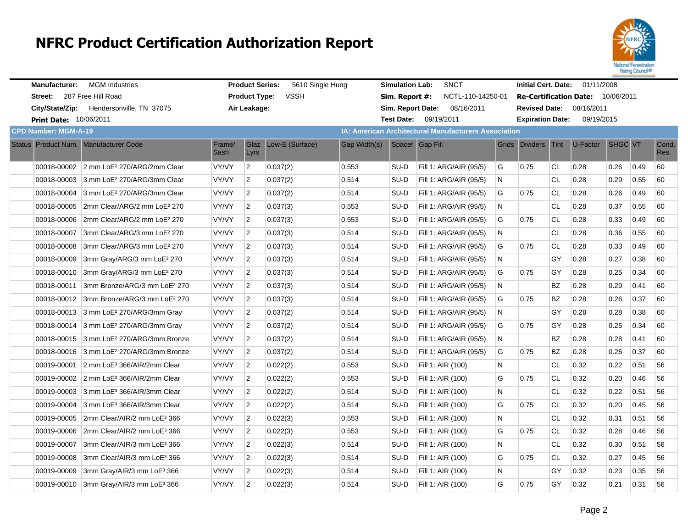

| <b>Manufacturer:</b>                  | <b>MGM Industries</b>                                |                | <b>Product Series:</b>                                      | 5610 Single Hung |              | <b>Simulation Lab:</b> | <b>SNCT</b>            |    | <b>Initial Cert. Date:</b> |           | 01/11/2008                        |                |      |               |
|---------------------------------------|------------------------------------------------------|----------------|-------------------------------------------------------------|------------------|--------------|------------------------|------------------------|----|----------------------------|-----------|-----------------------------------|----------------|------|---------------|
| Street:                               | 287 Free Hill Road                                   |                | <b>Product Type:</b>                                        | <b>VSSH</b>      |              | Sim. Report #:         | NCTL-110-14250-01      |    |                            |           | Re-Certification Date: 10/06/2011 |                |      |               |
|                                       | City/State/Zip: Hendersonville, TN 37075             |                | Air Leakage:                                                |                  |              | Sim. Report Date:      | 08/16/2011             |    | <b>Revised Date:</b>       |           | 08/16/2011                        |                |      |               |
| Print Date: 10/06/2011                |                                                      |                |                                                             |                  |              | <b>Test Date:</b>      | 09/19/2011             |    | <b>Expiration Date:</b>    |           | 09/19/2015                        |                |      |               |
| <b>CPD Number: MGM-A-19</b>           |                                                      |                | <b>IA: American Architectural Manufacturers Association</b> |                  |              |                        |                        |    |                            |           |                                   |                |      |               |
| Status Product Num. Manufacturer Code |                                                      | Frame/<br>Sash | Glaz<br>Lyrs                                                | Low-E (Surface)  | Gap Width(s) |                        | Spacer Gap Fill        |    | Grids Dividers Tint        |           | U-Factor                          | <b>SHGC VT</b> |      | Cond.<br>Res. |
|                                       | 00018-00002 2 mm LoE <sup>2</sup> 270/ARG/2mm Clear  | <b>VY/VY</b>   | $\overline{2}$                                              | 0.037(2)         | 0.553        | SU-D                   | Fill 1: ARG/AIR (95/5) | G  | 0.75                       | <b>CL</b> | 0.28                              | 0.26           | 0.49 | 60            |
| 00018-00003                           | 3 mm LoE <sup>2</sup> 270/ARG/3mm Clear              | <b>VY/VY</b>   | $\overline{2}$                                              | 0.037(2)         | 0.514        | SU-D                   | Fill 1: ARG/AIR (95/5) | N. |                            | <b>CL</b> | 0.28                              | 0.29           | 0.55 | 60            |
|                                       | 00018-00004 3 mm LoE <sup>2</sup> 270/ARG/3mm Clear  | VY/VY          | $\overline{2}$                                              | 0.037(2)         | 0.514        | SU-D                   | Fill 1: ARG/AIR (95/5) | G  | 0.75                       | <b>CL</b> | 0.28                              | 0.26           | 0.49 | 60            |
| 00018-00005                           | 2mm Clear/ARG/2 mm LoE <sup>2</sup> 270              | VY/VY          | $\overline{2}$                                              | 0.037(3)         | 0.553        | SU-D                   | Fill 1: ARG/AIR (95/5) | N. |                            | <b>CL</b> | 0.28                              | 0.37           | 0.55 | 60            |
| 00018-00006                           | 2mm Clear/ARG/2 mm LoE <sup>2</sup> 270              | VY/VY          | $\overline{2}$                                              | 0.037(3)         | 0.553        | SU-D                   | Fill 1: ARG/AIR (95/5) | G  | 0.75                       | <b>CL</b> | 0.28                              | 0.33           | 0.49 | 60            |
| 00018-00007                           | 3mm Clear/ARG/3 mm LoE <sup>2</sup> 270              | VY/VY          | $\overline{2}$                                              | 0.037(3)         | 0.514        | SU-D                   | Fill 1: ARG/AIR (95/5) | N. |                            | <b>CL</b> | 0.28                              | 0.36           | 0.55 | 60            |
| 00018-00008                           | 3mm Clear/ARG/3 mm LoE <sup>2</sup> 270              | VY/VY          | $\overline{2}$                                              | 0.037(3)         | 0.514        | SU-D                   | Fill 1: ARG/AIR (95/5) | G  | 0.75                       | CL        | 0.28                              | 0.33           | 0.49 | 60            |
| 00018-00009                           | 3mm Gray/ARG/3 mm LoE <sup>2</sup> 270               | <b>VY/VY</b>   | $\overline{2}$                                              | 0.037(3)         | 0.514        | SU-D                   | Fill 1: ARG/AIR (95/5) | N. |                            | GY        | 0.28                              | 0.27           | 0.38 | 60            |
| 00018-00010                           | 3mm Gray/ARG/3 mm LoE <sup>2</sup> 270               | VY/VY          | $\overline{2}$                                              | 0.037(3)         | 0.514        | SU-D                   | Fill 1: ARG/AIR (95/5) | G  | 0.75                       | GY        | 0.28                              | 0.25           | 0.34 | 60            |
| 00018-00011                           | 3mm Bronze/ARG/3 mm LoE <sup>2</sup> 270             | VY/VY          | $\overline{2}$                                              | 0.037(3)         | 0.514        | SU-D                   | Fill 1: ARG/AIR (95/5) | N. |                            | <b>BZ</b> | 0.28                              | 0.29           | 0.41 | 60            |
| 00018-00012                           | 3mm Bronze/ARG/3 mm LoE <sup>2</sup> 270             | VY/VY          | $\overline{2}$                                              | 0.037(3)         | 0.514        | SU-D                   | Fill 1: ARG/AIR (95/5) | G  | 0.75                       | ΒZ        | 0.28                              | 0.26           | 0.37 | 60            |
|                                       | 00018-00013 3 mm LoE <sup>2</sup> 270/ARG/3mm Gray   | <b>VY/VY</b>   | $\overline{2}$                                              | 0.037(2)         | 0.514        | SU-D                   | Fill 1: ARG/AIR (95/5) | N  |                            | GY        | 0.28                              | 0.28           | 0.38 | 60            |
| 00018-00014                           | 3 mm LoE <sup>2</sup> 270/ARG/3mm Gray               | VY/VY          | $\overline{2}$                                              | 0.037(2)         | 0.514        | SU-D                   | Fill 1: ARG/AIR (95/5) | G  | 0.75                       | GY        | 0.28                              | 0.25           | 0.34 | 60            |
|                                       | 00018-00015 3 mm LoE <sup>2</sup> 270/ARG/3mm Bronze | VY/VY          | $\overline{2}$                                              | 0.037(2)         | 0.514        | SU-D                   | Fill 1: ARG/AIR (95/5) | N  |                            | BZ        | 0.28                              | 0.28           | 0.41 | 60            |
|                                       | 00018-00016 3 mm LoE <sup>2</sup> 270/ARG/3mm Bronze | VY/VY          | $\overline{2}$                                              | 0.037(2)         | 0.514        | SU-D                   | Fill 1: ARG/AIR (95/5) | G  | 0.75                       | ΒZ        | 0.28                              | 0.26           | 0.37 | 60            |
| 00019-00001                           | 2 mm LoE <sup>3</sup> 366/AIR/2mm Clear              | VY/VY          | $\overline{2}$                                              | 0.022(2)         | 0.553        | SU-D                   | Fill 1: AIR (100)      | N. |                            | <b>CL</b> | 0.32                              | 0.22           | 0.51 | 56            |
| 00019-00002                           | 2 mm LoE <sup>3</sup> 366/AIR/2mm Clear              | VY/VY          | $\overline{2}$                                              | 0.022(2)         | 0.553        | SU-D                   | Fill 1: AIR (100)      | G  | 0.75                       | CL        | 0.32                              | 0.20           | 0.46 | 56            |
|                                       | 00019-00003 3 mm LoE <sup>3</sup> 366/AIR/3mm Clear  | VY/VY          | $\overline{2}$                                              | 0.022(2)         | 0.514        | SU-D                   | Fill 1: AIR (100)      | N  |                            | <b>CL</b> | 0.32                              | 0.22           | 0.51 | 56            |
| 00019-00004                           | 3 mm LoE <sup>3</sup> 366/AIR/3mm Clear              | VY/VY          | $\overline{2}$                                              | 0.022(2)         | 0.514        | SU-D                   | Fill 1: AIR (100)      | G  | 0.75                       | CL        | 0.32                              | 0.20           | 0.45 | 56            |
| 00019-00005                           | 2mm Clear/AIR/2 mm LoE <sup>3</sup> 366              | VY/VY          | $\overline{2}$                                              | 0.022(3)         | 0.553        | SU-D                   | Fill 1: AIR (100)      | N  |                            | CL        | 0.32                              | 0.31           | 0.51 | 56            |
| 00019-00006                           | 2mm Clear/AIR/2 mm LoE <sup>3</sup> 366              | <b>VY/VY</b>   | $\overline{2}$                                              | 0.022(3)         | 0.553        | SU-D                   | Fill 1: AIR (100)      | G  | 0.75                       | <b>CL</b> | 0.32                              | 0.28           | 0.46 | 56            |
| 00019-00007                           | 3mm Clear/AIR/3 mm LoE <sup>3</sup> 366              | VY/VY          | $\overline{2}$                                              | 0.022(3)         | 0.514        | SU-D                   | Fill 1: AIR (100)      | N. |                            | CL        | 0.32                              | 0.30           | 0.51 | 56            |
| 00019-00008                           | 3mm Clear/AIR/3 mm LoE <sup>3</sup> 366              | <b>VY/VY</b>   | $\overline{2}$                                              | 0.022(3)         | 0.514        | SU-D                   | Fill 1: AIR (100)      | G  | 0.75                       | CL        | 0.32                              | 0.27           | 0.45 | 56            |
| 00019-00009                           | 3mm Gray/AIR/3 mm LoE <sup>3</sup> 366               | VY/VY          | $\overline{2}$                                              | 0.022(3)         | 0.514        | SU-D                   | Fill 1: AIR (100)      | N. |                            | GY        | 0.32                              | 0.23           | 0.35 | 56            |
| 00019-00010                           | 3mm Gray/AIR/3 mm LoE <sup>3</sup> 366               | <b>VY/VY</b>   | $\overline{2}$                                              | 0.022(3)         | 0.514        | SU-D                   | Fill 1: AIR (100)      | G  | 0.75                       | GY        | 0.32                              | 0.21           | 0.31 | 56            |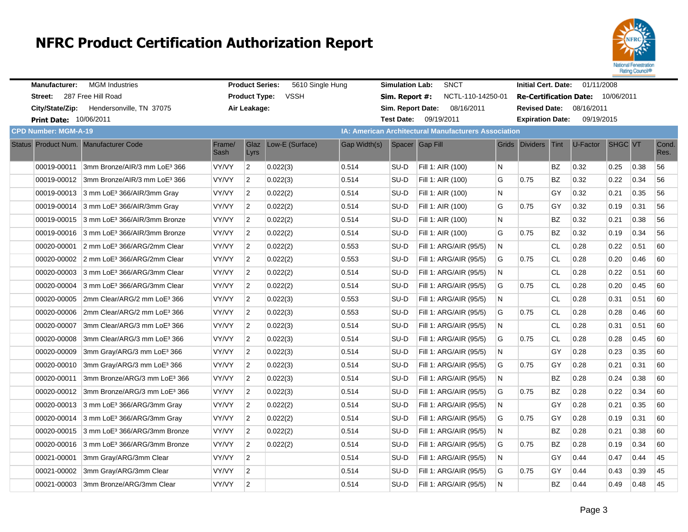

| <b>Manufacturer:</b>                  | <b>MGM</b> Industries                                |                | <b>Product Series:</b> | 5610 Single Hung |              | <b>Simulation Lab:</b> | <b>SNCT</b>                                                 |              | <b>Initial Cert. Date:</b> |           | 01/11/2008                        |         |      |               |
|---------------------------------------|------------------------------------------------------|----------------|------------------------|------------------|--------------|------------------------|-------------------------------------------------------------|--------------|----------------------------|-----------|-----------------------------------|---------|------|---------------|
| Street: 287 Free Hill Road            |                                                      |                | <b>Product Type:</b>   | <b>VSSH</b>      |              | Sim. Report #:         | NCTL-110-14250-01                                           |              |                            |           | Re-Certification Date: 10/06/2011 |         |      |               |
| City/State/Zip:                       | Hendersonville, TN 37075                             |                | Air Leakage:           |                  |              | Sim. Report Date:      | 08/16/2011                                                  |              | <b>Revised Date:</b>       |           | 08/16/2011                        |         |      |               |
| <b>Print Date: 10/06/2011</b>         |                                                      |                |                        |                  |              | <b>Test Date:</b>      | 09/19/2011                                                  |              | <b>Expiration Date:</b>    |           | 09/19/2015                        |         |      |               |
| <b>CPD Number: MGM-A-19</b>           |                                                      |                |                        |                  |              |                        | <b>IA: American Architectural Manufacturers Association</b> |              |                            |           |                                   |         |      |               |
| Status Product Num. Manufacturer Code |                                                      | Frame/<br>Sash | Glaz<br>Lyrs           | Low-E (Surface)  | Gap Width(s) |                        | Spacer Gap Fill                                             |              | Grids Dividers Tint        |           | U-Factor                          | SHGC VT |      | Cond.<br>Res. |
| 00019-00011                           | 3mm Bronze/AIR/3 mm LoE <sup>3</sup> 366             | VY/VY          | $\overline{2}$         | 0.022(3)         | 0.514        | SU-D                   | Fill 1: AIR (100)                                           | N            |                            | BZ        | 0.32                              | 0.25    | 0.38 | 56            |
|                                       | 00019-00012 3mm Bronze/AIR/3 mm LoE3 366             | <b>VY/VY</b>   | $\overline{2}$         | 0.022(3)         | 0.514        | SU-D                   | Fill 1: AIR (100)                                           | G            | 0.75                       | <b>BZ</b> | 0.32                              | 0.22    | 0.34 | 56            |
|                                       | 00019-00013 3 mm LoE <sup>3</sup> 366/AIR/3mm Gray   | VY/VY          | $\overline{2}$         | 0.022(2)         | 0.514        | SU-D                   | Fill 1: AIR (100)                                           | N            |                            | GY        | 0.32                              | 0.21    | 0.35 | 56            |
|                                       | 00019-00014 3 mm LoE <sup>3</sup> 366/AIR/3mm Gray   | VY/VY          | $\overline{2}$         | 0.022(2)         | 0.514        | SU-D                   | Fill 1: AIR (100)                                           | G            | 0.75                       | GY        | 0.32                              | 0.19    | 0.31 | 56            |
|                                       | 00019-00015 3 mm LoE <sup>3</sup> 366/AIR/3mm Bronze | VY/VY          | $\overline{2}$         | 0.022(2)         | 0.514        | SU-D                   | Fill 1: AIR (100)                                           | $\mathsf{N}$ |                            | ΒZ        | 0.32                              | 0.21    | 0.38 | 56            |
|                                       | 00019-00016 3 mm LoE <sup>3</sup> 366/AIR/3mm Bronze | VY/VY          | $\overline{2}$         | 0.022(2)         | 0.514        | SU-D                   | Fill 1: AIR (100)                                           | G            | 0.75                       | <b>BZ</b> | 0.32                              | 0.19    | 0.34 | 56            |
| 00020-00001                           | 2 mm LoE <sup>3</sup> 366/ARG/2mm Clear              | <b>VY/VY</b>   | $\overline{2}$         | 0.022(2)         | 0.553        | SU-D                   | Fill 1: ARG/AIR (95/5)                                      | N.           |                            | CL.       | 0.28                              | 0.22    | 0.51 | 60            |
|                                       | 00020-00002 2 mm LoE <sup>3</sup> 366/ARG/2mm Clear  | VY/VY          | $\overline{2}$         | 0.022(2)         | 0.553        | SU-D                   | Fill 1: ARG/AIR (95/5)                                      | G            | 0.75                       | <b>CL</b> | 0.28                              | 0.20    | 0.46 | 60            |
|                                       | 00020-00003 3 mm LoE <sup>3</sup> 366/ARG/3mm Clear  | <b>VY/VY</b>   | $\overline{2}$         | 0.022(2)         | 0.514        | SU-D                   | Fill 1: ARG/AIR (95/5)                                      | N.           |                            | <b>CL</b> | 0.28                              | 0.22    | 0.51 | 60            |
| 00020-00004                           | 3 mm LoE <sup>3</sup> 366/ARG/3mm Clear              | VY/VY          | $\overline{2}$         | 0.022(2)         | 0.514        | SU-D                   | Fill 1: ARG/AIR (95/5)                                      | G            | 0.75                       | CL        | 0.28                              | 0.20    | 0.45 | 60            |
| 00020-00005                           | 2mm Clear/ARG/2 mm LoE <sup>3</sup> 366              | VY/VY          | $\overline{2}$         | 0.022(3)         | 0.553        | SU-D                   | Fill 1: ARG/AIR (95/5)                                      | N.           |                            | <b>CL</b> | 0.28                              | 0.31    | 0.51 | 60            |
| 00020-00006                           | 2mm Clear/ARG/2 mm LoE <sup>3</sup> 366              | VY/VY          | $\overline{2}$         | 0.022(3)         | 0.553        | SU-D                   | Fill 1: ARG/AIR (95/5)                                      | G            | 0.75                       | <b>CL</b> | 0.28                              | 0.28    | 0.46 | 60            |
| 00020-00007                           | 3mm Clear/ARG/3 mm LoE <sup>3</sup> 366              | <b>VY/VY</b>   | $\overline{2}$         | 0.022(3)         | 0.514        | SU-D                   | Fill 1: ARG/AIR (95/5)                                      | N.           |                            | <b>CL</b> | 0.28                              | 0.31    | 0.51 | 60            |
| 00020-00008                           | 3mm Clear/ARG/3 mm LoE <sup>3</sup> 366              | VY/VY          | $\overline{2}$         | 0.022(3)         | 0.514        | SU-D                   | Fill 1: ARG/AIR (95/5)                                      | G            | 0.75                       | CL        | 0.28                              | 0.28    | 0.45 | 60            |
| 00020-00009                           | 3mm Gray/ARG/3 mm LoE3 366                           | VY/VY          | $\overline{2}$         | 0.022(3)         | 0.514        | SU-D                   | Fill 1: ARG/AIR (95/5)                                      | N            |                            | GY        | 0.28                              | 0.23    | 0.35 | 60            |
| 00020-00010                           | 3mm Gray/ARG/3 mm LoE3 366                           | VY/VY          | $\overline{2}$         | 0.022(3)         | 0.514        | SU-D                   | Fill 1: ARG/AIR (95/5)                                      | G            | 0.75                       | GY        | 0.28                              | 0.21    | 0.31 | 60            |
| 00020-00011                           | 3mm Bronze/ARG/3 mm LoE3 366                         | <b>VY/VY</b>   | $\overline{2}$         | 0.022(3)         | 0.514        | SU-D                   | Fill 1: ARG/AIR (95/5)                                      | N            |                            | BZ        | 0.28                              | 0.24    | 0.38 | 60            |
|                                       | 00020-00012 3mm Bronze/ARG/3 mm LoE3 366             | <b>VY/VY</b>   | $\overline{2}$         | 0.022(3)         | 0.514        | SU-D                   | Fill 1: ARG/AIR (95/5)                                      | G            | 0.75                       | BZ        | 0.28                              | 0.22    | 0.34 | 60            |
|                                       | 00020-00013 3 mm LoE <sup>3</sup> 366/ARG/3mm Gray   | VY/VY          | $\overline{2}$         | 0.022(2)         | 0.514        | SU-D                   | Fill 1: ARG/AIR (95/5)                                      | N.           |                            | GY        | 0.28                              | 0.21    | 0.35 | 60            |
|                                       | 00020-00014 3 mm LoE <sup>3</sup> 366/ARG/3mm Gray   | VY/VY          | $\overline{2}$         | 0.022(2)         | 0.514        | SU-D                   | Fill 1: ARG/AIR (95/5)                                      | G            | 0.75                       | GY        | 0.28                              | 0.19    | 0.31 | 60            |
|                                       | 00020-00015 3 mm LoE <sup>3</sup> 366/ARG/3mm Bronze | VY/VY          | $\overline{2}$         | 0.022(2)         | 0.514        | SU-D                   | Fill 1: ARG/AIR (95/5)                                      | N            |                            | ΒZ        | 0.28                              | 0.21    | 0.38 | 60            |
|                                       | 00020-00016 3 mm LoE <sup>3</sup> 366/ARG/3mm Bronze | <b>VY/VY</b>   | $\overline{2}$         | 0.022(2)         | 0.514        | SU-D                   | Fill 1: ARG/AIR (95/5)                                      | G            | 0.75                       | ΒZ        | 0.28                              | 0.19    | 0.34 | 60            |
| 00021-00001                           | 3mm Gray/ARG/3mm Clear                               | VY/VY          | $\overline{2}$         |                  | 0.514        | SU-D                   | Fill 1: ARG/AIR (95/5)                                      | N            |                            | GY        | 0.44                              | 0.47    | 0.44 | 45            |
| 00021-00002                           | 3mm Gray/ARG/3mm Clear                               | VY/VY          | $\overline{2}$         |                  | 0.514        | SU-D                   | Fill 1: ARG/AIR (95/5)                                      | G            | 0.75                       | GY        | 0.44                              | 0.43    | 0.39 | 45            |
|                                       | 00021-00003 3mm Bronze/ARG/3mm Clear                 | VY/VY          | $\overline{c}$         |                  | 0.514        | SU-D                   | Fill 1: ARG/AIR (95/5)                                      | N            |                            | <b>BZ</b> | 0.44                              | 0.49    | 0.48 | 45            |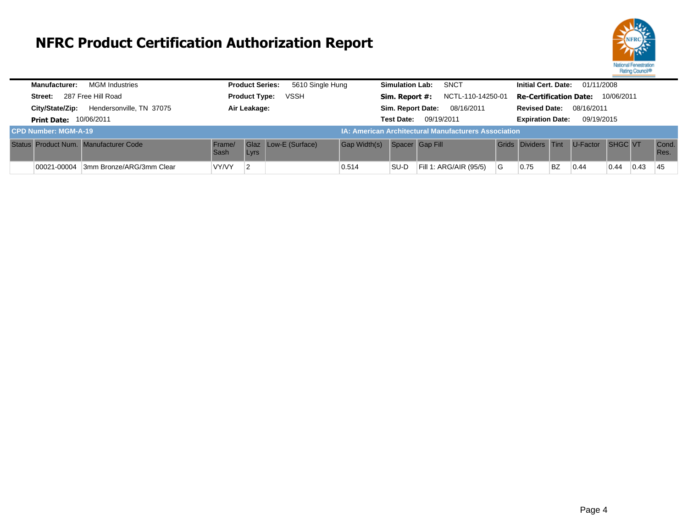

| <b>Manufacturer:</b>          | <b>MGM Industries</b>                 |                              | <b>Product Series:</b> | 5610 Single Hung     |                     | <b>Simulation Lab:</b>              | <b>SNCT</b>                                                 |    | <b>Initial Cert. Date:</b>                  |           | 01/11/2008 |                |      |               |  |
|-------------------------------|---------------------------------------|------------------------------|------------------------|----------------------|---------------------|-------------------------------------|-------------------------------------------------------------|----|---------------------------------------------|-----------|------------|----------------|------|---------------|--|
| Street:                       | 287 Free Hill Road                    | <b>Product Type:</b><br>VSSH |                        |                      |                     | NCTL-110-14250-01<br>Sim. Report #: |                                                             |    | 10/06/2011<br><b>Re-Certification Date:</b> |           |            |                |      |               |  |
| City/State/Zip:               | Hendersonville, TN 37075              |                              | Air Leakage:           |                      |                     | Sim. Report Date:                   | 08/16/2011                                                  |    | <b>Revised Date:</b>                        |           | 08/16/2011 |                |      |               |  |
| <b>Print Date: 10/06/2011</b> |                                       |                              |                        |                      |                     | <b>Test Date:</b>                   | 09/19/2011                                                  |    | <b>Expiration Date:</b>                     |           | 09/19/2015 |                |      |               |  |
| <b>CPD Number: MGM-A-19</b>   |                                       |                              |                        |                      |                     |                                     | <b>IA: American Architectural Manufacturers Association</b> |    |                                             |           |            |                |      |               |  |
|                               | Status Product Num. Manufacturer Code | Frame/<br>Sash               | Lyrs                   | Glaz Low-E (Surface) | <b>Gap Width(s)</b> | Spacer Gap Fill                     |                                                             |    | Grids Dividers Tint                         |           | U-Factor   | <b>SHGC VT</b> |      | Cond.<br>Res. |  |
| 00021-00004                   | 3mm Bronze/ARG/3mm Clear              | VY/VY                        | 2                      |                      | 0.514               | SU-D                                | Fill 1: ARG/AIR (95/5)                                      | ∣G | 0.75                                        | <b>BZ</b> | 0.44       | 0.44           | 0.43 | 45            |  |
|                               |                                       |                              |                        |                      |                     |                                     |                                                             |    |                                             |           |            |                |      |               |  |